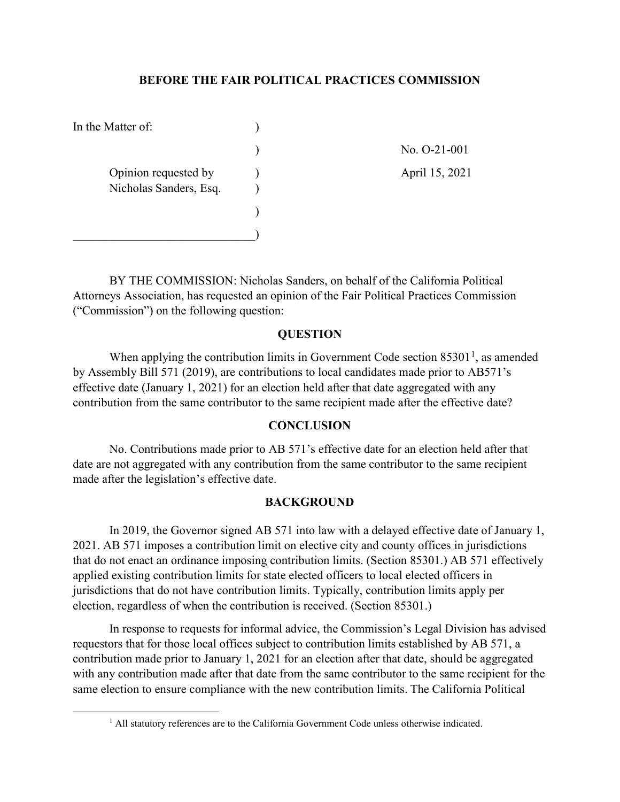### **BEFORE THE FAIR POLITICAL PRACTICES COMMISSION**

| In the Matter of:                              |                |
|------------------------------------------------|----------------|
|                                                | No. 0-21-001   |
| Opinion requested by<br>Nicholas Sanders, Esq. | April 15, 2021 |
|                                                |                |
|                                                |                |

BY THE COMMISSION: Nicholas Sanders, on behalf of the California Political Attorneys Association, has requested an opinion of the Fair Political Practices Commission ("Commission") on the following question:

## **QUESTION**

When applying the contribution limits in Government Code section  $85301<sup>1</sup>$  $85301<sup>1</sup>$  $85301<sup>1</sup>$ , as amended by Assembly Bill 571 (2019), are contributions to local candidates made prior to AB571's effective date (January 1, 2021) for an election held after that date aggregated with any contribution from the same contributor to the same recipient made after the effective date?

### **CONCLUSION**

No. Contributions made prior to AB 571's effective date for an election held after that date are not aggregated with any contribution from the same contributor to the same recipient made after the legislation's effective date.

### **BACKGROUND**

In 2019, the Governor signed AB 571 into law with a delayed effective date of January 1, 2021. AB 571 imposes a contribution limit on elective city and county offices in jurisdictions that do not enact an ordinance imposing contribution limits. (Section 85301.) AB 571 effectively applied existing contribution limits for state elected officers to local elected officers in jurisdictions that do not have contribution limits. Typically, contribution limits apply per election, regardless of when the contribution is received. (Section 85301.)

In response to requests for informal advice, the Commission's Legal Division has advised requestors that for those local offices subject to contribution limits established by AB 571, a contribution made prior to January 1, 2021 for an election after that date, should be aggregated with any contribution made after that date from the same contributor to the same recipient for the same election to ensure compliance with the new contribution limits. The California Political

<span id="page-0-0"></span>l

<sup>&</sup>lt;sup>1</sup> All statutory references are to the California Government Code unless otherwise indicated.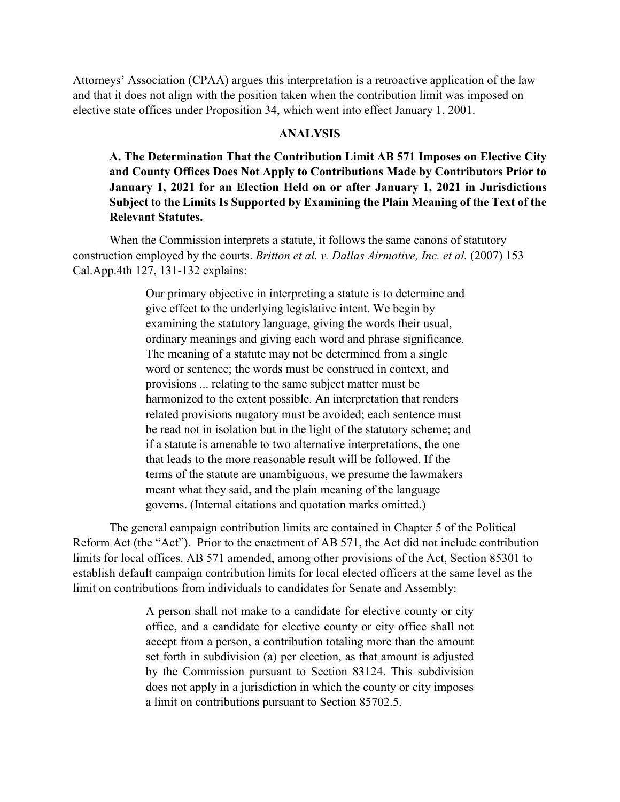Attorneys' Association (CPAA) argues this interpretation is a retroactive application of the law and that it does not align with the position taken when the contribution limit was imposed on elective state offices under Proposition 34, which went into effect January 1, 2001.

### **ANALYSIS**

**A. The Determination That the Contribution Limit AB 571 Imposes on Elective City and County Offices Does Not Apply to Contributions Made by Contributors Prior to January 1, 2021 for an Election Held on or after January 1, 2021 in Jurisdictions Subject to the Limits Is Supported by Examining the Plain Meaning of the Text of the Relevant Statutes.** 

When the Commission interprets a statute, it follows the same canons of statutory construction employed by the courts. *Britton et al. v. Dallas Airmotive, Inc. et al.* (2007) 153 Cal.App.4th 127, 131-132 explains:

> Our primary objective in interpreting a statute is to determine and give effect to the underlying legislative intent. We begin by examining the statutory language, giving the words their usual, ordinary meanings and giving each word and phrase significance. The meaning of a statute may not be determined from a single word or sentence; the words must be construed in context, and provisions ... relating to the same subject matter must be harmonized to the extent possible. An interpretation that renders related provisions nugatory must be avoided; each sentence must be read not in isolation but in the light of the statutory scheme; and if a statute is amenable to two alternative interpretations, the one that leads to the more reasonable result will be followed. If the terms of the statute are unambiguous, we presume the lawmakers meant what they said, and the plain meaning of the language governs. (Internal citations and quotation marks omitted.)

The general campaign contribution limits are contained in Chapter 5 of the Political Reform Act (the "Act"). Prior to the enactment of AB 571, the Act did not include contribution limits for local offices. AB 571 amended, among other provisions of the Act, Section 85301 to establish default campaign contribution limits for local elected officers at the same level as the limit on contributions from individuals to candidates for Senate and Assembly:

> A person shall not make to a candidate for elective county or city office, and a candidate for elective county or city office shall not accept from a person, a contribution totaling more than the amount set forth in subdivision (a) per election, as that amount is adjusted by the Commission pursuant to Section 83124. This subdivision does not apply in a jurisdiction in which the county or city imposes a limit on contributions pursuant to Section 85702.5.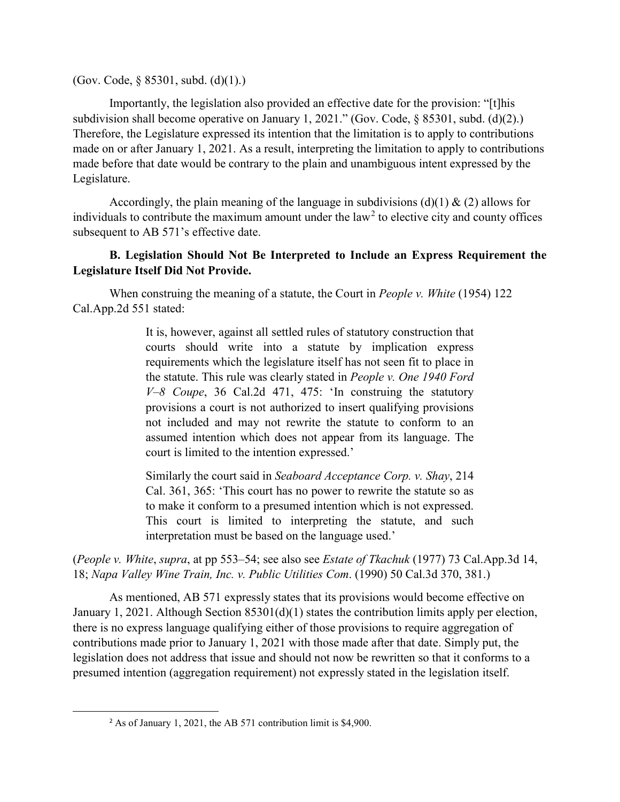(Gov. Code, § 85301, subd. (d)(1).)

Importantly, the legislation also provided an effective date for the provision: "[t]his subdivision shall become operative on January 1, 2021." (Gov. Code, § 85301, subd. (d)(2).) Therefore, the Legislature expressed its intention that the limitation is to apply to contributions made on or after January 1, 2021. As a result, interpreting the limitation to apply to contributions made before that date would be contrary to the plain and unambiguous intent expressed by the Legislature.

Accordingly, the plain meaning of the language in subdivisions (d)(1) & (2) allows for individuals to contribute the maximum amount under the law<sup>[2](#page-2-0)</sup> to elective city and county offices subsequent to AB 571's effective date.

## **B. Legislation Should Not Be Interpreted to Include an Express Requirement the Legislature Itself Did Not Provide.**

When construing the meaning of a statute, the Court in *People v. White* (1954) 122 Cal.App.2d 551 stated:

> It is, however, against all settled rules of statutory construction that courts should write into a statute by implication express requirements which the legislature itself has not seen fit to place in the statute. This rule was clearly stated in *People v. One 1940 Ford V–8 Coupe*, 36 Cal.2d 471, 475: 'In construing the statutory provisions a court is not authorized to insert qualifying provisions not included and may not rewrite the statute to conform to an assumed intention which does not appear from its language. The court is limited to the intention expressed.'

> Similarly the court said in *Seaboard Acceptance Corp. v. Shay*, 214 Cal. 361, 365: 'This court has no power to rewrite the statute so as to make it conform to a presumed intention which is not expressed. This court is limited to interpreting the statute, and such interpretation must be based on the language used.'

(*People v. White*, *supra*, at pp 553–54; see also see *Estate of Tkachuk* (1977) 73 Cal.App.3d 14, 18; *Napa Valley Wine Train, Inc. v. Public Utilities Com*. (1990) 50 Cal.3d 370, 381.)

As mentioned, AB 571 expressly states that its provisions would become effective on January 1, 2021. Although Section 85301(d)(1) states the contribution limits apply per election, there is no express language qualifying either of those provisions to require aggregation of contributions made prior to January 1, 2021 with those made after that date. Simply put, the legislation does not address that issue and should not now be rewritten so that it conforms to a presumed intention (aggregation requirement) not expressly stated in the legislation itself.

<span id="page-2-0"></span> <sup>2</sup> As of January 1, 2021, the AB 571 contribution limit is \$4,900.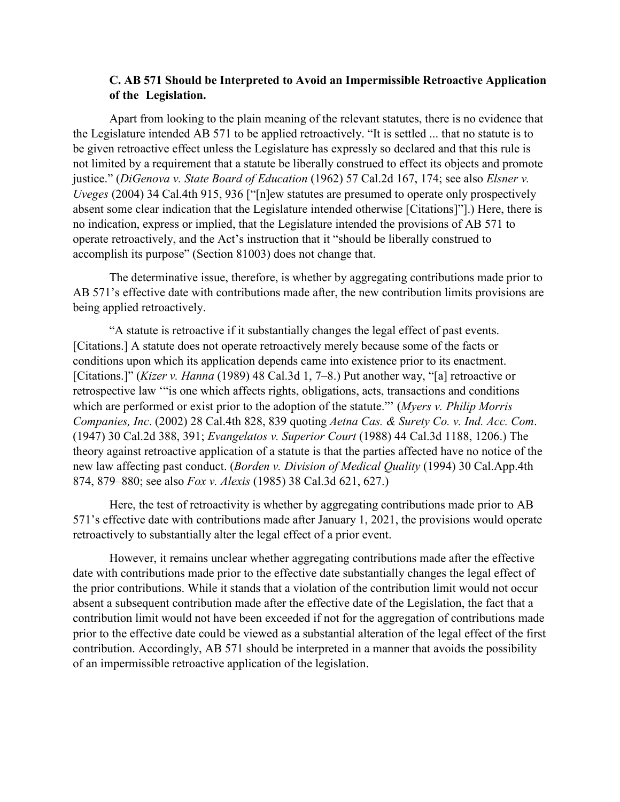## **C. AB 571 Should be Interpreted to Avoid an Impermissible Retroactive Application of the Legislation.**

 Apart from looking to the plain meaning of the relevant statutes, there is no evidence that the Legislature intended AB 571 to be applied retroactively. "It is settled ... that no statute is to be given retroactive effect unless the Legislature has expressly so declared and that this rule is not limited by a requirement that a statute be liberally construed to effect its objects and promote justice." (*DiGenova v. State Board of Education* (1962) 57 Cal.2d 167, 174; see also *Elsner v. Uveges* (2004) 34 Cal.4th 915, 936 ["[n]ew statutes are presumed to operate only prospectively absent some clear indication that the Legislature intended otherwise [Citations]"].) Here, there is no indication, express or implied, that the Legislature intended the provisions of AB 571 to operate retroactively, and the Act's instruction that it "should be liberally construed to accomplish its purpose" (Section 81003) does not change that.

The determinative issue, therefore, is whether by aggregating contributions made prior to AB 571's effective date with contributions made after, the new contribution limits provisions are being applied retroactively.

"A statute is retroactive if it substantially changes the legal effect of past events. [Citations.] A statute does not operate retroactively merely because some of the facts or conditions upon which its application depends came into existence prior to its enactment. [Citations.]" (*Kizer v. Hanna* (1989) 48 Cal.3d 1, 7–8.) Put another way, "[a] retroactive or retrospective law '"is one which affects rights, obligations, acts, transactions and conditions which are performed or exist prior to the adoption of the statute."' (*Myers v. Philip Morris Companies, Inc*. (2002) 28 Cal.4th 828, 839 quoting *Aetna Cas. & Surety Co. v. Ind. Acc. Com*. (1947) 30 Cal.2d 388, 391; *Evangelatos v. Superior Court* (1988) 44 Cal.3d 1188, 1206.) The theory against retroactive application of a statute is that the parties affected have no notice of the new law affecting past conduct. (*Borden v. Division of Medical Quality* (1994) 30 Cal.App.4th 874, 879–880; see also *Fox v. Alexis* (1985) 38 Cal.3d 621, 627.)

Here, the test of retroactivity is whether by aggregating contributions made prior to AB 571's effective date with contributions made after January 1, 2021, the provisions would operate retroactively to substantially alter the legal effect of a prior event.

However, it remains unclear whether aggregating contributions made after the effective date with contributions made prior to the effective date substantially changes the legal effect of the prior contributions. While it stands that a violation of the contribution limit would not occur absent a subsequent contribution made after the effective date of the Legislation, the fact that a contribution limit would not have been exceeded if not for the aggregation of contributions made prior to the effective date could be viewed as a substantial alteration of the legal effect of the first contribution. Accordingly, AB 571 should be interpreted in a manner that avoids the possibility of an impermissible retroactive application of the legislation.